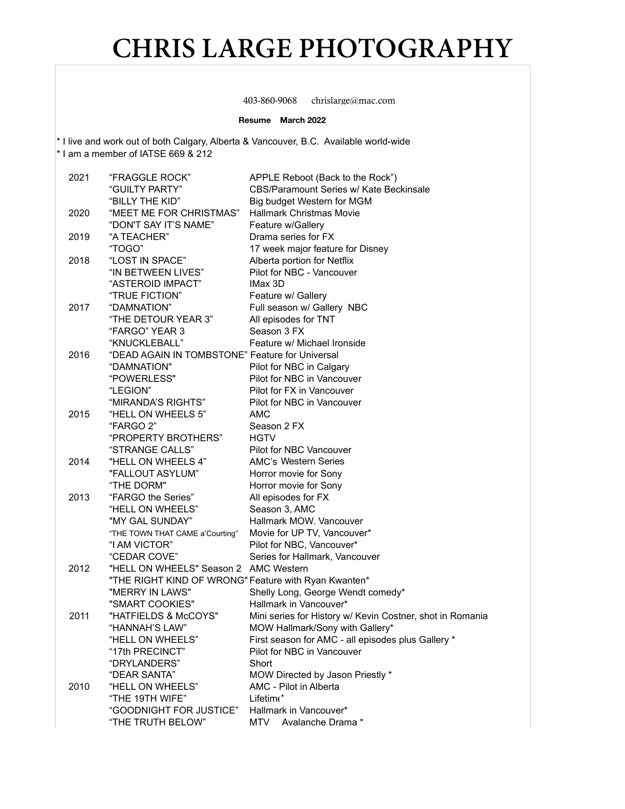403-860-9068 chrislarge@mac.com

#### **Resume March 2022**

\* I live and work out of both Calgary, Alberta & Vancouver, B.C. Available world-wide

\* I am a member of IATSE 669 & 212

| 2021 | "FRAGGLE ROCK"                                       | APPLE Reboot (Back to the Rock")                          |
|------|------------------------------------------------------|-----------------------------------------------------------|
|      | "GUILTY PARTY"                                       | CBS/Paramount Series w/ Kate Beckinsale                   |
|      | "BILLY THE KID"                                      | Big budget Western for MGM                                |
| 2020 | "MEET ME FOR CHRISTMAS"                              | <b>Hallmark Christmas Movie</b>                           |
|      | "DON'T SAY IT'S NAME"                                | Feature w/Gallery                                         |
| 2019 | "A TEACHER"                                          | Drama series for FX                                       |
|      | "TOGO"                                               | 17 week major feature for Disney                          |
| 2018 | "LOST IN SPACE"                                      | Alberta portion for Netflix                               |
|      | "IN BETWEEN LIVES"                                   | Pilot for NBC - Vancouver                                 |
|      | "ASTEROID IMPACT"                                    | IMax 3D                                                   |
|      | "TRUE FICTION"                                       | Feature w/ Gallery                                        |
| 2017 | "DAMNATION"                                          | Full season w/ Gallery NBC                                |
|      | "THE DETOUR YEAR 3"                                  | All episodes for TNT                                      |
|      | "FARGO" YEAR 3                                       | Season 3 FX                                               |
|      | "KNUCKLEBALL"                                        | Feature w/ Michael Ironside                               |
| 2016 | "DEAD AGAIN IN TOMBSTONE" Feature for Universal      |                                                           |
|      |                                                      |                                                           |
|      | "DAMNATION"                                          | Pilot for NBC in Calgary<br>Pilot for NBC in Vancouver    |
|      | "POWERLESS"                                          |                                                           |
|      | "LEGION"                                             | Pilot for FX in Vancouver                                 |
|      | "MIRANDA'S RIGHTS"                                   | Pilot for NBC in Vancouver<br>AMC                         |
| 2015 | "HELL ON WHEELS 5"                                   |                                                           |
|      | "FARGO 2"                                            | Season 2 FX                                               |
|      | "PROPERTY BROTHERS"                                  | <b>HGTV</b>                                               |
|      | "STRANGE CALLS"                                      | Pilot for NBC Vancouver                                   |
| 2014 | "HELL ON WHEELS 4"                                   | AMC's Western Series                                      |
|      | "FALLOUT ASYLUM"                                     | Horror movie for Sony                                     |
|      | "THE DORM"                                           | Horror movie for Sony                                     |
| 2013 | "FARGO the Series"                                   | All episodes for FX                                       |
|      | "HELL ON WHEELS"                                     | Season 3, AMC                                             |
|      | "MY GAL SUNDAY"                                      | Hallmark MOW. Vancouver                                   |
|      | "THE TOWN THAT CAME a'Courting"                      | Movie for UP TV, Vancouver*                               |
|      | "I AM VICTOR"                                        | Pilot for NBC, Vancouver*                                 |
|      | "CEDAR COVE"                                         | Series for Hallmark, Vancouver                            |
| 2012 | "HELL ON WHEELS" Season 2 AMC Western                |                                                           |
|      | "THE RIGHT KIND OF WRONG" Feature with Ryan Kwanten* |                                                           |
|      | "MERRY IN LAWS"                                      | Shelly Long, George Wendt comedy*                         |
|      | "SMART COOKIES"                                      | Hallmark in Vancouver*                                    |
| 2011 | "HATFIELDS & McCOYS"                                 | Mini series for History w/ Kevin Costner, shot in Romania |
|      | "HANNAH'S LAW"                                       | MOW Hallmark/Sony with Gallery*                           |
|      | "HELL ON WHEELS"                                     | First season for AMC - all episodes plus Gallery *        |
|      | "17th PRECINCT"                                      | Pilot for NBC in Vancouver                                |
|      | "DRYLANDERS"                                         | Short                                                     |
|      | "DEAR SANTA"                                         | MOW Directed by Jason Priestly *                          |
| 2010 | "HELL ON WHEELS"                                     | AMC - Pilot in Alberta                                    |
|      | "THE 19TH WIFE"                                      | Lifetim <sup>*</sup>                                      |
|      | "GOODNIGHT FOR JUSTICE"                              | Hallmark in Vancouver*                                    |
|      | "THE TRUTH BELOW"                                    | Avalanche Drama *<br>MTV                                  |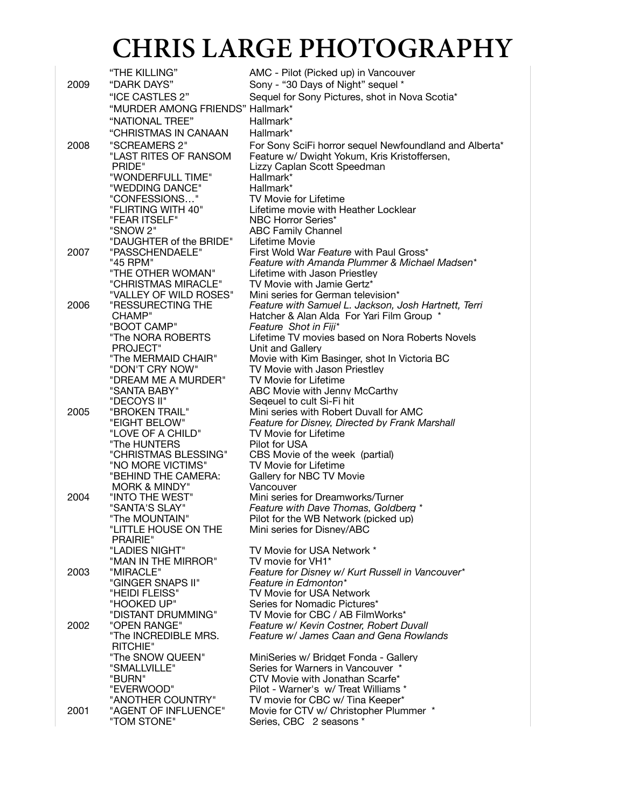|      | "THE KILLING"                               | AMC - Pilot (Picked up) in Vancouver                                                                   |
|------|---------------------------------------------|--------------------------------------------------------------------------------------------------------|
| 2009 | "DARK DAYS"                                 | Sony - "30 Days of Night" sequel *                                                                     |
|      | "ICE CASTLES 2"                             | Sequel for Sony Pictures, shot in Nova Scotia*                                                         |
|      | "MURDER AMONG FRIENDS" Hallmark*            |                                                                                                        |
|      | "NATIONAL TREE"                             | Hallmark*                                                                                              |
|      | "CHRISTMAS IN CANAAN                        | Hallmark*                                                                                              |
|      | "SCREAMERS 2"                               |                                                                                                        |
| 2008 | "LAST RITES OF RANSOM                       | For Sony SciFi horror sequel Newfoundland and Alberta*<br>Feature w/ Dwight Yokum, Kris Kristoffersen, |
|      | PRIDE"                                      | Lizzy Caplan Scott Speedman                                                                            |
|      | "WONDERFULL TIME"                           | Hallmark*                                                                                              |
|      | "WEDDING DANCE"                             | Hallmark*                                                                                              |
|      | "CONFESSIONS"                               | <b>TV Movie for Lifetime</b>                                                                           |
|      | "FLIRTING WITH 40"                          | Lifetime movie with Heather Locklear                                                                   |
|      | "FEAR ITSELF"                               | NBC Horror Series*                                                                                     |
|      | "SNOW 2"                                    | <b>ABC Family Channel</b>                                                                              |
|      | "DAUGHTER of the BRIDE"                     | Lifetime Movie                                                                                         |
| 2007 | "PASSCHENDAELE"                             | First Wold War Feature with Paul Gross*                                                                |
|      | "45 RPM"                                    | Feature with Amanda Plummer & Michael Madsen*                                                          |
|      | "THE OTHER WOMAN"                           | Lifetime with Jason Priestley                                                                          |
|      | "CHRISTMAS MIRACLE"                         | TV Movie with Jamie Gertz*                                                                             |
|      | "VALLEY OF WILD ROSES"<br>"RESSURECTING THE | Mini series for German television*                                                                     |
| 2006 | CHAMP"                                      | Feature with Samuel L. Jackson, Josh Hartnett, Terri<br>Hatcher & Alan Alda For Yari Film Group *      |
|      | "BOOT CAMP"                                 | Feature Shot in Fiji*                                                                                  |
|      | "The NORA ROBERTS                           | Lifetime TV movies based on Nora Roberts Novels                                                        |
|      | PROJECT"                                    | Unit and Gallery                                                                                       |
|      | "The MERMAID CHAIR"                         | Movie with Kim Basinger, shot In Victoria BC                                                           |
|      | "DON'T CRY NOW"                             | TV Movie with Jason Priestlev                                                                          |
|      | "DREAM ME A MURDER"                         | TV Movie for Lifetime                                                                                  |
|      | "SANTA BABY"                                | ABC Movie with Jenny McCarthy                                                                          |
|      | "DECOYS II"                                 | Segeuel to cult Si-Fi hit                                                                              |
| 2005 | "BROKEN TRAIL"                              | Mini series with Robert Duvall for AMC                                                                 |
|      | "EIGHT BELOW"                               | Feature for Disney, Directed by Frank Marshall                                                         |
|      | "LOVE OF A CHILD"<br>"The HUNTERS           | TV Movie for Lifetime<br>Pilot for USA                                                                 |
|      | "CHRISTMAS BLESSING"                        | CBS Movie of the week (partial)                                                                        |
|      | "NO MORE VICTIMS"                           | <b>TV Movie for Lifetime</b>                                                                           |
|      | "BEHIND THE CAMERA:                         | Gallery for NBC TV Movie                                                                               |
|      | <b>MORK &amp; MINDY"</b>                    | Vancouver                                                                                              |
| 2004 | "INTO THE WEST"                             | Mini series for Dreamworks/Turner                                                                      |
|      | "SANTA'S SLAY"                              | Feature with Dave Thomas, Goldberg *                                                                   |
|      | "The MOUNTAIN"                              | Pilot for the WB Network (picked up)                                                                   |
|      | "LITTLE HOUSE ON THE                        | Mini series for Disney/ABC                                                                             |
|      | PRAIRIE"                                    |                                                                                                        |
|      | "LADIES NIGHT"                              | TV Movie for USA Network *                                                                             |
| 2003 | "MAN IN THE MIRROR"<br>"MIRACLE"            | TV movie for VH1*<br>Feature for Disney w/ Kurt Russell in Vancouver*                                  |
|      | "GINGER SNAPS II"                           | Feature in Edmonton*                                                                                   |
|      | "HEIDI FLEISS"                              | TV Movie for USA Network                                                                               |
|      | "HOOKED UP"                                 | Series for Nomadic Pictures*                                                                           |
|      | "DISTANT DRUMMING"                          | TV Movie for CBC / AB FilmWorks*                                                                       |
| 2002 | "OPEN RANGE"                                | Feature w/ Kevin Costner, Robert Duvall                                                                |
|      | "The INCREDIBLE MRS.                        | Feature w/ James Caan and Gena Rowlands                                                                |
|      | <b>RITCHIE"</b>                             |                                                                                                        |
|      | "The SNOW QUEEN"                            | MiniSeries w/ Bridget Fonda - Gallery                                                                  |
|      | "SMALLVILLE"                                | Series for Warners in Vancouver *                                                                      |
|      | "BURN"                                      | CTV Movie with Jonathan Scarfe*                                                                        |
|      | "EVERWOOD"                                  | Pilot - Warner's w/ Treat Williams *                                                                   |
|      | "ANOTHER COUNTRY"                           | TV movie for CBC w/ Tina Keeper*                                                                       |
| 2001 | "AGENT OF INFLUENCE"                        | Movie for CTV w/ Christopher Plummer *                                                                 |
|      | "TOM STONE"                                 | Series, CBC 2 seasons *                                                                                |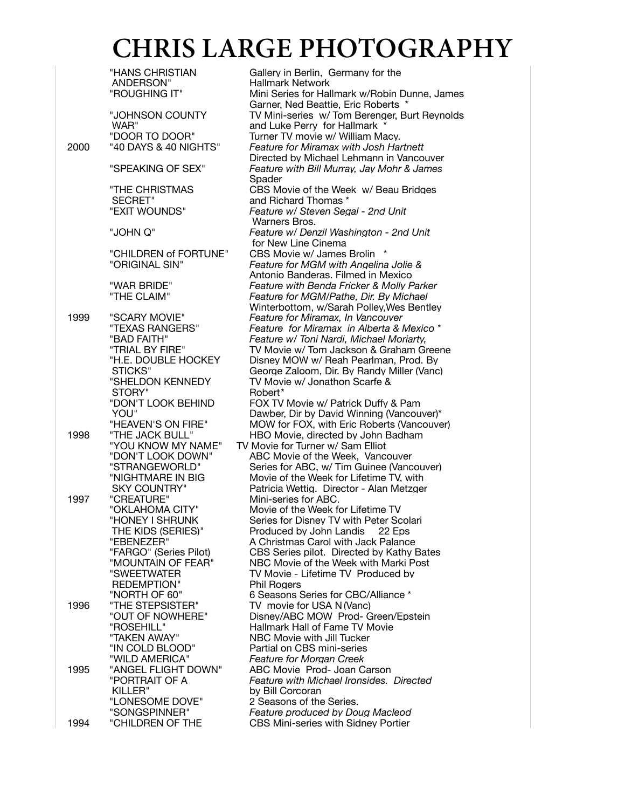"HANS CHRISTIAN Gallery in Berlin, Germany for the ANDERSON" Hallmark Network ANDERSON" Hallmark Network<br>"ROUGHING IT" Mini Series for Hal Mini Series for Hallmark w/Robin Dunne, James Garner, Ned Beattie, Eric Roberts \* "JOHNSON COUNTY TV Mini-series w/ Tom Berenger, Burt Reynolds WAR" **and Luke Perry for Hallmark**<br>"DOOR TO DOOR" Turner TV movie w/ William M "DOOR TO DOOR" Turner TV movie w/ William Macy.<br>"40 DAYS & 40 NIGHTS" Feature for Miramax with Josh Ha 2000 "40 DAYS & 40 NIGHTS" *Feature for Miramax with Josh Hartnett* "SPEAKING OF SEX" *Feature with Bill Murray, Jay Mohr & James*  Spader "THE CHRISTMAS CBS Movie of the Week w/ Beau Bridges SECRET" and Richard Thomas \*<br>"EXIT WOUNDS" Feature w/ Steven Sec Warners Bros. "JOHN Q" *Feature w/ Denzil Washington - 2nd Unit* "CHILDREN of FORTUNE" CBS Movie w/ James Brolin \*<br>"ORIGINAL SIN" Feature for MGM with Angeline "WAR BRIDE" *Feature with Benda Fricker & Molly Parker* 1999 "SCARY MOVIE" *Feature for Miramax, In Vancouver* "TEXAS RANGERS" *Feature for Miramax in Alberta & Mexico \** "BAD FAITH" *Feature w/ Toni Nardi, Michael Moriarty,* "TRIAL BY FIRE" TV Movie w/ Tom Jackson & Graham Greene<br>"H.E. DOUBLE HOCKEY Disney MOW w/ Reah Pearlman, Prod. By STICKS" George Zaloom, Dir. By Randy Miller (Vanc)<br>"SHELDON KENNEDY TV Movie w/ Jonathon Scarfe & STORY"<br>"DON'T LOOK BEHIND YOU" Dawber, Dir by David Winning (Vancouver)\*<br>"HEAVEN'S ON FIRE" MOW for FOX, with Eric Roberts (Vancouve "HEAVEN'S ON FIRE" MOW for FOX, with Eric Roberts (Vancouver)<br>"THE JACK BULL" HBO Movie, directed by John Badham 1998 "THE JACK BULL" HBO Movie, directed by John Badham "YOU KNOW MY NAME" TV Movie for Turner w/ Sam Elliot "DON'T LOOK DOWN" ABC Movie of the Week, Vancouver<br>"STRANGEWORLD" Series for ABC, w/Tim Guinee (Vanc "STRANGEWORLD" Series for ABC, w/ Tim Guinee (Vancouver)<br>"NIGHTMARE IN BIG Movie of the Week for Lifetime TV, with "NIGHTMARE IN BIG Movie of the Week for Lifetime TV, with<br>SKY COUNTRY" Patricia Wettig. Director - Alan Metzger SKY COUNTRY" Patricia Wettig. Director - Alan Metzger<br>"CREATURE" Mini-series for ABC. 1997 "CREATURE" Mini-series for ABC. "OKLAHOMA CITY" Movie of the Week for Lifetime TV "HONEY I SHRUNK Series for Disney TV with Peter Scolari THE KIDS (SERIES)" Produced by John Landis 22 Eps<br>"EBENEZER" A Christmas Carol with Jack Palance "EBENEZER" A Christmas Carol with Jack Palance "FARGO" (Series Pilot) CBS Series pilot. Directed by Kathy Bates<br>"MOUNTAIN OF FEAR" NBC Movie of the Week with Marki Post "MOUNTAIN OF FEAR" NBC Movie of the Week with Marki Post<br>"SWEETWATER" TV Movie - Lifetime TV Produced by REDEMPTION" Phil Rogers<br>"NORTH OF 60" 6 Seasons 9 "NORTH OF 60" 6 Seasons Series for CBC/Alliance \*<br>"THE STEPSISTER" TV movie for USA N (Vanc) 1996 "THE STEPSISTER" TV movie for USA N (Vanc) "OUT OF NOWHERE" Disney/ABC MOW Prod- Green/Epstein "ROSEHILL" 

Hallmark Hall of Fame TV Movie<br>
"TAKEN AWAY" 
NBC Movie with Jill Tucker "TAKEN AWAY" NBC Movie with Jill Tucker "IN COLD BLOOD" Partial on CBS mini-series<br>"WILD AMERICA" Feature for Morgan Creek "WILD AMERICA" *Feature for Morgan Creek* 1995 "ANGEL FLIGHT DOWN" ABC Movie Prod- Joan Carson<br>"PORTRAIT OF A Feature with Michael Ironsides. "PORTRAIT OF A *Feature with Michael Ironsides. Directed* KILLER" by Bill Corcoran<br>"LONESOME DOVE" 2 Seasons of the "LONESOME DOVE" 2 Seasons of the Series.<br>"SONGSPINNER" Feature produced by Do

1994 "CHILDREN OF THE CBS Mini-series with Sidney Portier

Directed by Michael Lehmann in Vancouver Feature w/ Steven Segal - 2nd Unit for New Line Cinema **Feature for MGM with Angelina Jolie &** Antonio Banderas. Filmed in Mexico **Feature for MGM/Pathe, Dir. By Michael** Winterbottom, w/Sarah Polley,Wes Bentley Disney MOW w/ Reah Pearlman, Prod. By TV Movie w/ Jonathon Scarfe &<br>Robert\* FOX TV Movie w/ Patrick Duffy & Pam TV Movie - Lifetime TV Produced by **Feature produced by Doug Macleod**